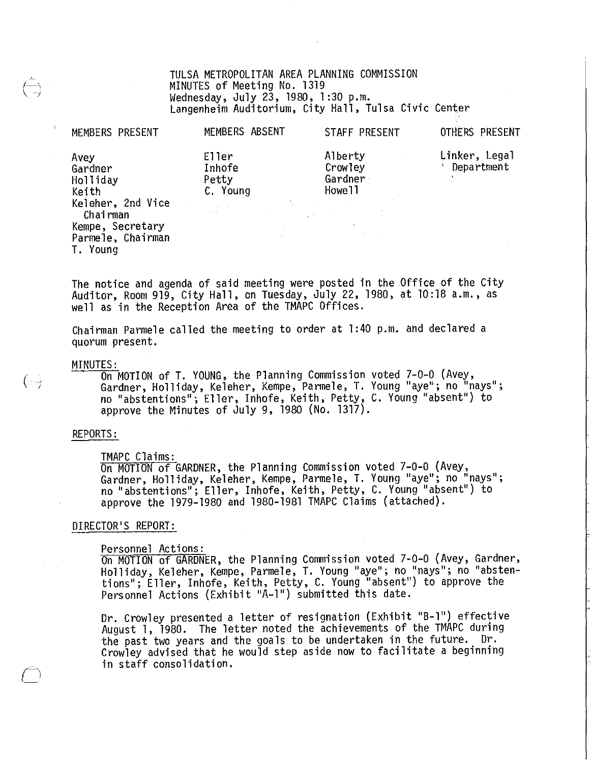# TULSA METROPOLITAN AREA PLANNING COMMISSION MINUTES of Meeting No. 1319<br>Wednesday, July 23, 1980, 1:30 p.m. Langenheim Auditorium, City Hall, Tulsa Civic Center

| MEMBERS PRESENT                                                                                                            | MEMBERS ABSENT                                                                    | STAFF PRESENT                            | OTHERS PRESENT              |
|----------------------------------------------------------------------------------------------------------------------------|-----------------------------------------------------------------------------------|------------------------------------------|-----------------------------|
| Avey<br>Gardner<br>Holliday<br>Keith<br>Keleher, 2nd Vice<br>Chairman<br>Kempe, Secretary<br>Parmele, Chairman<br>T. Young | Eller<br>Inhofe<br>Petty<br>C. Young<br>$\sim 100$ km s $^{-1}$<br>$\mu \neq 0$ . | Alberty<br>Crowley<br>Gardner<br>Howe 11 | Linker, Legal<br>Department |

The notice and agenda of said meeting were posted in the Office of the City<br>Auditor, Room 919, City Hall, on Tuesday, July 22, 1980, at 10:18 a.m., as well as in the Reception Area of the TMAPC Offices.

Chairman Parmele called the meeting to order at 1:40 p.m. and declared a quorum present.

 $\left( \begin{array}{c} 1 \\ -\frac{1}{\sqrt{2}} \end{array} \right)$ 

MINUTES:<br>On MOTION of T. YOUNG, the Planning Commission voted 7-0-0 (Avey, Gardner, Holliday, Keleher, Kempe, Parmele, T. Young "aye"; no "nays"; no "abstentions"; Eller, Inhofe, Keith, Petty, C. Young "absent") to approve the Minutes of July 9, 1980 (No. 1317).

## REPORTS:

#### TMAPC Claims:

On MOTION of GARDNER, the Planning Commission voted 7-0-0 (Avey, Gardner, Holliday, Keleher, Kempe, Parmele, T. Young "aye"; no "nays"; no "abstentions"; Eller, Inhofe, Keith, Petty, C. Young "absent") to approve the 1979-1980 and 1980-1981 TMAPC Claims (attached).

## DIRECTOR'S REPORT:

#### Personnel Actions:

On MOTION of GARDNER, the Planning Commission voted 7-0-0 (Avey, Gardner, Holliday, Keleher, Kempe, Parmele, T. Young "aye"; no "nays"; no "abstentions"; Eller, Inhofe, Keith, Petty, C. Young "absent") to approve the Personnel Actions (Exhibit "A-1") submitted this date.

Dr. Crowley presented a letter of resignation (Exhibit "B-1") effective August 1, 1980. The letter noted the achievements of the TMAPC during the past two years and the goals to be undertaken in the future. Dr. Crowley advised that he would step aside now to facilitate a beginning in staff consolidation.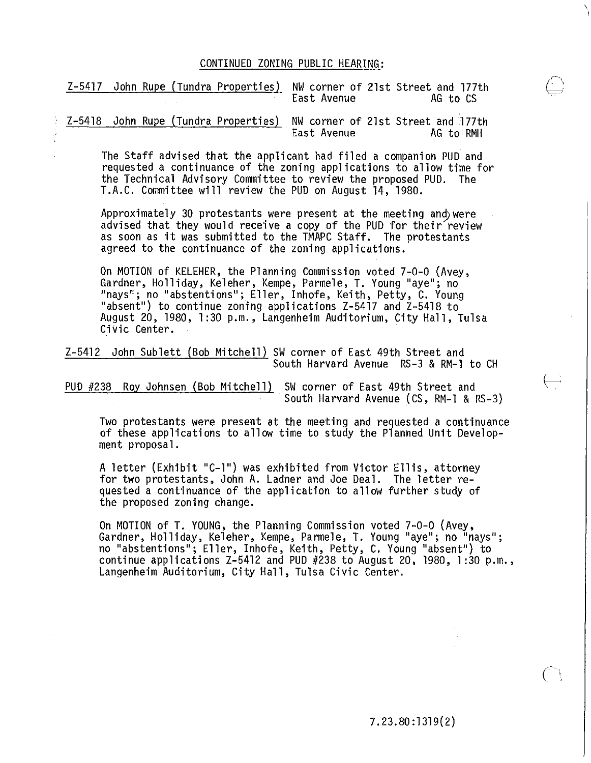## CONTINUED ZONING PUBLIC HEARING:

 $\bigoplus$ 

 $\overline{\phantom{a}}$ I

| John Rupe (Tundra Properties)<br>Z-5417                                                                                                                                                                                                                                   | NW corner of 21st Street and 177th<br>East Avenue<br>AG to CS                                                                                                                                                                                                                       |
|---------------------------------------------------------------------------------------------------------------------------------------------------------------------------------------------------------------------------------------------------------------------------|-------------------------------------------------------------------------------------------------------------------------------------------------------------------------------------------------------------------------------------------------------------------------------------|
| Z-5418 John Rupe (Tundra Properties)                                                                                                                                                                                                                                      | NW corner of 21st Street and 177th<br>East Avenue<br><b>AG to RMH</b>                                                                                                                                                                                                               |
| T.A.C. Committee will review the PUD on August 14, 1980.                                                                                                                                                                                                                  | The Staff advised that the applicant had filed a companion PUD and<br>requested a continuance of the zoning applications to allow time for<br>the Technical Advisory Committee to review the proposed PUD. The<br>Approximately 30 protestants were present at the meeting and were |
| as soon as it was submitted to the TMAPC Staff. The protestants<br>agreed to the continuance of the zoning applications.                                                                                                                                                  | advised that they would receive a copy of the PUD for their review                                                                                                                                                                                                                  |
| On MOTION of KELEHER, the Planning Commission voted $7-0-0$ (Avey,<br>Gardner, Holliday, Keleher, Kempe, Parmele, T. Young "aye"; no<br>"nays"; no "abstentions"; Eller, Inhofe, Keith, Petty, C. Young<br>"absent") to continue zoning applications Z-5417 and Z-5418 to |                                                                                                                                                                                                                                                                                     |

Z-5412 John Sublett (Bob Mitchell) SW corner of East 49th Street and South Harvard Avenue RS-3 & RM-l to CH

Civic Center.

August 20, 1980, 1:30 p.m., Langenheim Auditorium, City Hall, Tulsa

PUD #238 Roy Johnsen (Bob Mitchell) SW corner of East 49th Street and South Harvard Avenue (CS, RM-l & RS-3)

Two protestants were present at the meeting and requested a continuance of these applications to allow time to study the Planned Unit Development proposa 1.

A letter (Exhibit "C-l") was exhibited from Victor Ellis, attorney for two protestants, John A. Ladner and Joe Deal. The letter requested a continuance of the application to allow further study of the proposed zoning change.

On MOTION of T. YOUNG, the Planning Commission voted 7-0-0 (Avey, Gardner, Holliday, Keleher, Kempe, Parmele, T. Young "aye"; no "nays"; no "abstentions"; Eller, Inhofe, Keith, Petty, C. Young "absent") to continue applications Z-5412 and PUD #238 to August 20, 1980, 1:30 p.m.,<br>Langenheim Auditorium, City Hall, Tulsa Civic Center.

7.23.80:1319(2)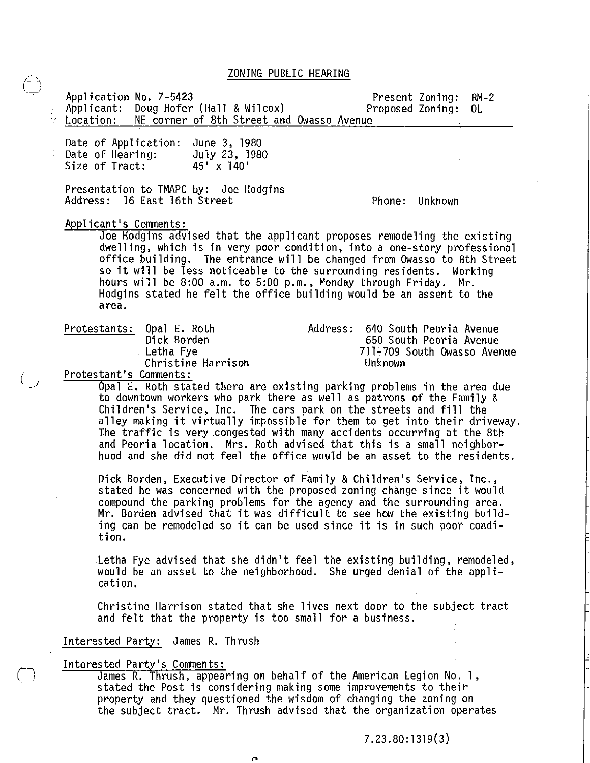## ZONING PUBLIC HEARING

| Application No. Z-5423<br>Applicant: Doug Hofer (Hall & Wilcox)<br>Location:                                                                                                                                                                                                                                                                                                                                                                                                                                                                                                                                                                                                                                                                                                                                                                                                                                                                        | NE corner of 8th Street and Owasso Avenue |                     | Present Zoning: RM-2<br>Proposed Zoning: 0L                                       |  |
|-----------------------------------------------------------------------------------------------------------------------------------------------------------------------------------------------------------------------------------------------------------------------------------------------------------------------------------------------------------------------------------------------------------------------------------------------------------------------------------------------------------------------------------------------------------------------------------------------------------------------------------------------------------------------------------------------------------------------------------------------------------------------------------------------------------------------------------------------------------------------------------------------------------------------------------------------------|-------------------------------------------|---------------------|-----------------------------------------------------------------------------------|--|
| Date of Application:<br>June 3, 1980<br>Date of Hearing: July 23, 1980<br>$45' \times 140'$<br>Size of Tract:                                                                                                                                                                                                                                                                                                                                                                                                                                                                                                                                                                                                                                                                                                                                                                                                                                       |                                           |                     |                                                                                   |  |
| Presentation to TMAPC by: Joe Hodgins<br>Address: 16 East 16th Street                                                                                                                                                                                                                                                                                                                                                                                                                                                                                                                                                                                                                                                                                                                                                                                                                                                                               |                                           |                     | Phone: Unknown                                                                    |  |
| Applicant's Comments:<br>Joe Hodgins advised that the applicant proposes remodeling the existing<br>dwelling, which is in very poor condition, into a one-story professional<br>office building. The entrance will be changed from Owasso to 8th Street<br>so it will be less noticeable to the surrounding residents. Working<br>hours will be 8:00 a.m. to 5:00 p.m., Monday through Friday. Mr.<br>Hodgins stated he felt the office building would be an assent to the<br>area.                                                                                                                                                                                                                                                                                                                                                                                                                                                                 |                                           |                     |                                                                                   |  |
| Protestants: Opal E. Roth<br>Dick Borden<br>Letha Fye<br>Christine Harrison<br>Protestant's Comments:<br>Opal E. Roth stated there are existing parking problems in the area due<br>to downtown workers who park there as well as patrons of the Family &<br>Children's Service, Inc. The cars park on the streets and fill the<br>alley making it virtually impossible for them to get into their driveway.<br>The traffic is very congested with many accidents occurring at the 8th<br>and Peoria location. Mrs. Roth advised that this is a small neighbor-<br>hood and she did not feel the office would be an asset to the residents.<br>Dick Borden, Executive Director of Family & Children's Service, Inc.,<br>stated he was concerned with the proposed zoning change since it would<br>compound the parking problems for the agency and the surrounding area.<br>Mr. Borden advised that it was difficult to see how the existing build- |                                           | Address:<br>Unknown | 640 South Peoria Avenue<br>650 South Peoria Avenue<br>711-709 South Owasso Avenue |  |
| ing can be remodeled so it can be used since it is in such poor condi-<br>tion.                                                                                                                                                                                                                                                                                                                                                                                                                                                                                                                                                                                                                                                                                                                                                                                                                                                                     |                                           |                     |                                                                                   |  |
| Letha Fye advised that she didn't feel the existing building, remodeled,<br>would be an asset to the neighborhood. She urged denial of the appli-<br>cation.                                                                                                                                                                                                                                                                                                                                                                                                                                                                                                                                                                                                                                                                                                                                                                                        |                                           |                     |                                                                                   |  |

Christine Harrison stated that she lives next door to the subject tract and felt that the property is too small for a business.

## Interested Party: James R. Thrush

# Interested Party's Comments:

 $\left(\rightarrow\right)$ 

 $\bigoplus$ 

James R. Thrush, appearing on behalf of the American Legion No.1, stated the Post is considering making some improvements to their property and they questioned the wisdom of changing the zoning on the subject tract. Mr. Thrush advised that the organization operates

7.23.80:1319(3)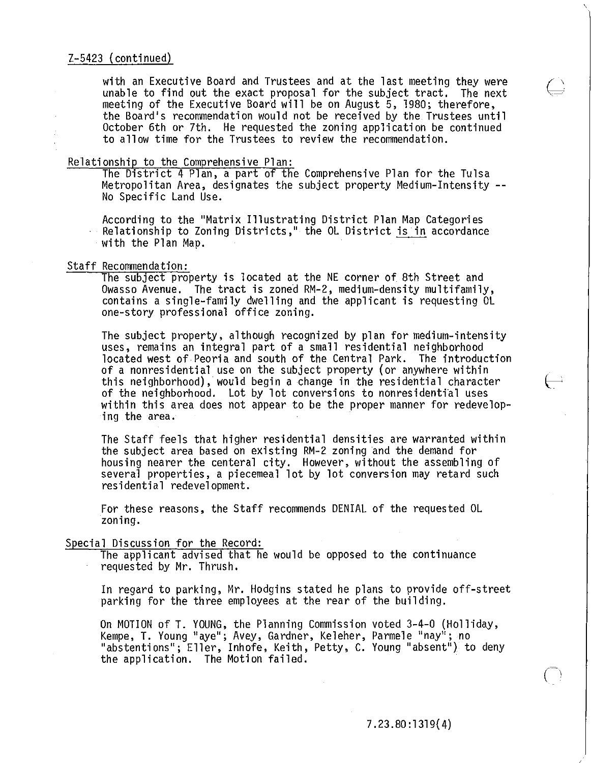### Z-5423 (continued)

with an Executive Board and Trustees and at the last meeting they were unable to find out the exact proposal for the subject tract. The next meeting of the Executive Board will be on August  $\bar{5}$ , 1980; therefore, the Board's recommendation would not be received by the Trustees until October 6th or 7th. He requested the zoning application be continued to allow time for the Trustees to review the recommendation.

## Relationship to the Comprehensive Plan:

The District 4 Plan, a part of the Comprehensive Plan for the Tulsa Metropolitan Area, designates the subject property Medium-Intensity --<br>No Specific Land Use.

According to the "Matrix Illustrating District Plan Map Categories<br>Relationship to Zoning Districts," the OL District is in accordance with the Plan Map.

#### Staff Recommendation:

The subject property is located at the NE corner of 8th Street and<br>Owasso Avenue. The tract is zoned RM-2, medium-density multifamily, contains a single-family dwelling and the applicant is requesting OL one-story professional office zoning.

The subject property, although recognized by plan for medium-intensity uses, remains an integral part of a small residential neighborhood<br>located west of Peoria and south of the Central Park. The introduction of a nonresidential use on the subject property (or anywhere within this neighborhood), would begin a change in the residential character of the neighborhood. Lot by lot conversions to nonresidential uses within this area does not appear to be the proper manner for redevelop-<br>ing the area.

The Staff feels that higher residential densities are warranted within the subject area based on eXisting RM-2 zoning and the demand for housing nearer the centeral city. However, without the assembling of several properties, a piecemeal lot by lot conversion may retard such residential redevelopment.

For these reasons, the Staff recommends DENIAL of the requested OL zoning.

#### Special Discussion for the Record:

The applicant advised that he would be opposed to the continuance requested by Mr. Thrush.

In regard to parking, Mr. Hodgins stated he plans to provide off-street parking for the three employees at the rear of the building.

On MOTION of T. YOUNG, the Planning Commission voted 3-4-0 (Holliday, Kempe, T. Young "aye"; Avey, Gardner, Keleher, Parmele "nay"; no "abstentions"; Eller, Inhofe, Keith, Petty, C. Young "absent") to deny the application. The Motion failed.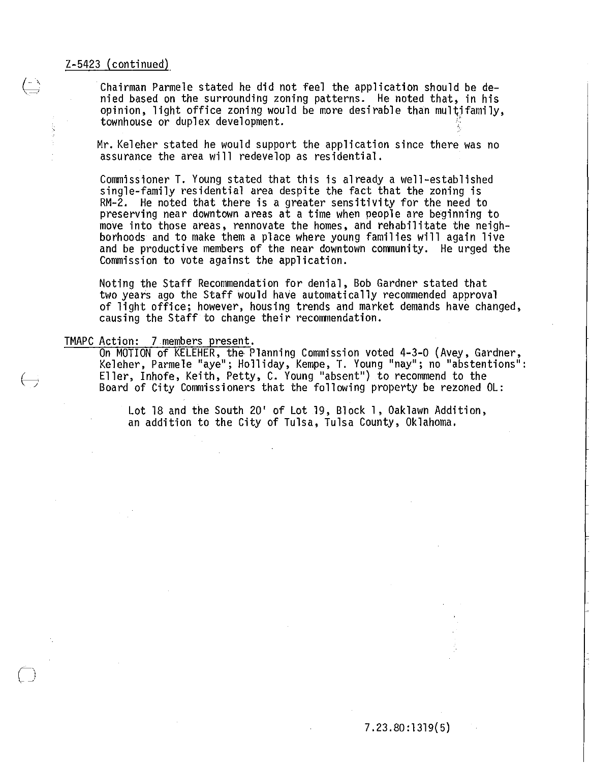## $Z-5423$  (continued)

Chairman Parmele stated he did not feel the application should be denied based on the surrounding zoning patterns. He noted that, in his opinion, light office zoning would be more desirable than multifamily, nied based on the surrounding zoning patterns. He noted that, in<br>opinion, light office zoning would be more desirable than multif<br>townhouse or duplex development.

Mr. Keleher stated he would support the application since there was no assurance the area will redevelop as residential.

Commissioner T. Young stated that this is already a well-established single-family residential area despite the fact that the zoning is RM-2. He noted that there is a greater sensitivity for the need to preserving near downtown areas at a time when people are beginning to move into those areas, rennovate the homes, and rehabilitate the neighborhoods and to make them a place where young families will again live and be productive members of the near downtown community. He urged the Commission to vote against the application.

Noting the Staff Recommendation for denial, Bob Gardner stated that<br>two years ago the Staff would have automatically recommended approval of light office; however, housing trends and market demands have changed, causing the Staff to change their recommendation.

 $\bigcirc$ 

TMAPC Action: 7 members present.<br>On MOTION of KELEHER, the Planning Commission voted 4-3-0 (Avey, Gardner, Keleher, Parmele "aye"; Holliday, Kempe, T. Young "nay"; no "abstentions": Eller, Inhofe, Keith, Petty, C. Young "absent") to recommend to the Board of City Commissioners that the following property be rezoned OL:

> Lot 18 and the South 20' of Lot 19, Block 1, Oaklawn Addition, an addition to the City of Tulsa, Tulsa County, Oklahoma.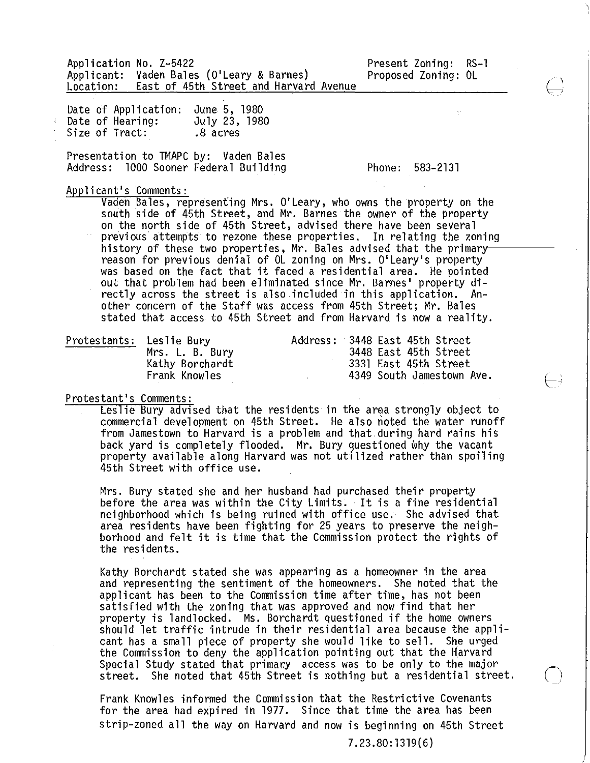Application No. Z-5422 Applicant: Vaden Bales (O'Leary & Barnes) Location: East of 45th Street and Harvard Avenue

Present Zoning: RS-l Proposed Zoning: OL

Date of Hearing:<br>Size of Tract: Date of Application: June 5, 1980 July 23. 1980 .8 acres

Presentation to THAPC by: Vaden Bales Address: 1000 Sooner Federal Building

Phone: 583-2131

Applicant's Comments:

Vaden Bales. representing Mrs. O'Leary. who owns the property on the south side of 45th Street, and Mr. Barnes the owner of the property on the north side of 45th Street, advised there have been several<br>previous attempts to rezone these properties. In relating the zoning history of these two properties. Mr. Bales advised that the primaryreason for previous denial of OL zoning on Mrs. O'Leary's property was based on the fact that it faced a residential area. He pointed out that problem had been eliminated since Mr. Barnes' property directly across the street is also included in this application. Another concern of the Staff was access from 45th Street; Mr. Bales stated that access to 45th Street and from Harvard is now a reality.

| Protestants: Leslie Bury |                 | Address: 3448 East 45th Street |  |
|--------------------------|-----------------|--------------------------------|--|
|                          | Mrs. L. B. Bury | 3448 East 45th Street          |  |
|                          | Kathy Borchardt | 3331 East 45th Street          |  |
|                          | Frank Knowles   | 4349 South Jamestown Ave.      |  |

#### Protestant's Comments:

Leslie Bury advised that the residents in the area strongly object to commercial development on 45th Street. He also noted the water runoff from Jamestown to Harvard is a problem and that during hard rains his back yard is completely flooded. Mr. Bury questioned why the vacant property available along Harvard was not utilized rather than spoiling 45th Street with office use.

Mrs. Bury stated she and her husband had purchased their property before the area was within the City Limits. It is a fine residential neighborhood which is being ruined with office use. She advised that area residents have been fighting for 25 years to preserve the neigh- borhood and felt it is time that the Commission protect the rights of the residents.

Kathy Borchardt stated she was appearing as a homeowner in the area and representing the sentiment of the homeowners. She noted that the applicant has been to the Commission time after time, has not been satisfied with the zoning that was approved and now find that her property is landlocked. Ms. Borchardt questioned if the home owners should let traffic intrude in their residential area because the applicant has a small piece of property she would like to sell. She urged the Commission to deny the application pointing out that the Harvard Special Study stated that primary access was to be only to the major street. She noted that 45th Street is nothing but a residential street.

Frank Knowles informed the Commission that the Restrictive Covenants for the area had expired in 1977. Since that time the area has been strip-zoned all the way on Harvard and now is beginning on 45th Street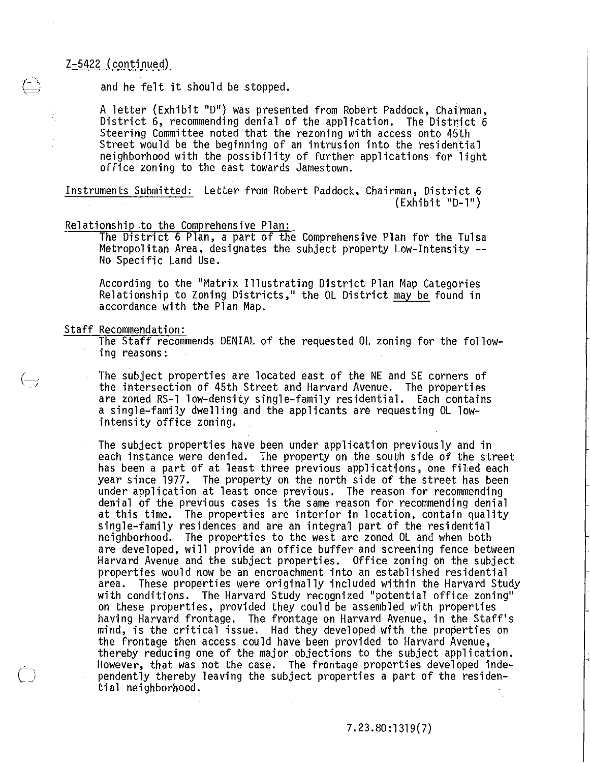### Z-5422 (continued)

and he felt it should be stopped.

A letter (Exhibit "D") was presented from Robert Paddock, Chairman, District 6, recommending denial of the application. The District 6 Steering Committee noted that the rezoning with access onto 45th Street would be the beginning of an intrusion into the residential neighborhood with the possibility of further applications for light office zoning to the east towards Jamestown.

Instruments Submitted: Letter from Robert Paddock, Chairman, District 6  $(Kxhibit "D-1")$ 

#### Relationship to the Comprehensive Plan:

The District 6 Plan, a part of the Comprehensive Plan for the Tulsa Metropolitan Area, designates the subject property Low-Intensity -- No Specific Land Use.

According to the "Matrix Illustrating District Plan Map Categories Relationship to Zoning Districts," the OL District may be found in accordance with the Plan Map.

#### Staff Recommendation:

 $\left(\frac{1}{2}\right)$ 

The Staff recommends DENIAL of the requested OL zoning for the followi ng reasons:

The subject properties are located east of the NE and SE corners of the intersection of 45th Street and Harvard Avenue. The properties are zoned RS-l low-density single-family residential. Each contains a single-family dwelling and the applicants are requesting OL lowintensity office zoning.

The subject properties have been under application previously and in each instance were denied. The property on the south side of the street has been a part of at least three previous applications, one filed each year since 1977. The property on the north side of the street has been<br>under application at least once previous. The reason for recommending denial of the previous cases is the same reason for recommending denial at this time. The properties are interior in location, contain quality single-family residences and are an integral part of the residential neighborhood. The properties to the west are zoned OL and when both are developed, will provide an office buffer and screening fence between Harvard Avenue and the subject properties. Office zoning on the subject properties would now be an encroachment into an established residential area. These properties were originally included within the Harvard Study with conditions. The Harvard Study recognized "potential office zoning" on these properties, provided they could be assembled with properties having Harvard frontage. The frontage on Harvard Avenue, in the Staff's mind, is the critical issue. Had they developed with the properties on the frontage then access could have been provided to Harvard Avenue, thereby reducing one of the major objections to the subject application. However, that was not the case. The frontage properties developed independently thereby leaving the subject properties a part of the residential neighborhood.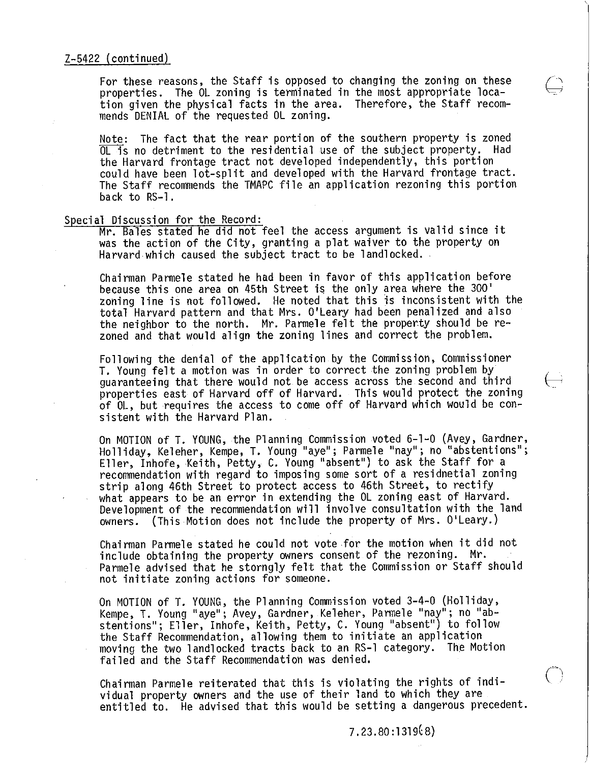## Z-5422 (continued)

For these reasons, the Staff is opposed to changing the zoning on these properties. The OL zoning is terminated in the most appropriate location given the physical facts in the area. Therefore, the Staff recommends DENIAL of the requested OL zoning.

Note: The fact that the rear portion of the southern property is zoned  $\overline{OL}$  is no detriment to the residential use of the subject property. Had the Harvard frontage tract not developed independently, this portion could have been lot-split and developed with the Harvard frontage tract. The Staff recommends the TMAPC file an application rezoning this portion back to RS-1.

#### Special Discussion for the Record:

Mr. Bales stated he did not feel the access argument is valid since it was the action of the City, granting a plat waiver to the property on Harvard which caused the subject tract to be landlocked.

Chairman Parmele stated he had been in favor of this application before because this one area on 45th Street is the only area where the 300' zoning line is not followed. He noted that this is inconsistent with the total Harvard pattern and that Mrs. O'Leary had been penalized and also the neighbor to the north. Mr. Parmele felt the property should be rezoned and that would align the zoning lines and correct the problem.

Following the denial of the application by the Commission, Commissioner guaranteeing that there would not be access across the second and third<br>properties east of Harvard off of Harvard. This would protect the zoning<br>of OL, but requires the access to come off of Harvard which would be consistent with the Harvard Plan.

On MOTION of T. YOUNG, the Planning Commission voted 6-1-0 (Avey, Gardner, Holliday, Keleher, Kempe, T. Young "aye"; Parmele "nay"; no "abstentions"; Eller, Inhofe, Keith, Petty, C. Young "absent") to ask the Staff for a recommendation with regard to imposing some sort of a residnetia1 zoning strip along 46th Street to protect access to 46th Street, to rectify what appears to be an error in extending the OL zoning east of Harvard. Development of the recommendation will involve consultation with the land owners. (This Motion does not include the property of Mrs. O'Leary.)

Chairman Parmele stated he could not vote ·for the motion when it did not include obtaining the property owners consent of the rezoning. Mr. Parmele advised that he storng1y felt that the Commission or Staff should not initiate zoning actions for someone.

On MOTION of T. YOUNG, the Planning Commission *voted* 3-4-0 (Holliday, Kempe, T. Young "aye"; Avey, Gardner, Keleher, Parmele "nay"; no "abstentions"; Eller, Inhofe, Keith, Petty, C. Young "absent") to follow the Staff Recommendation, allowing them to initiate an application moving the two landlocked tracts back to an RS-1 category. The Motion failed and the Staff Recommendation was denied.

Chairman Parmele reiterated that this is violating the rights of individual property owners and the use of their land to which they are entitled to. He advised that this would be setting a dangerous precedent.  $\left( \begin{array}{c} \end{array} \right)$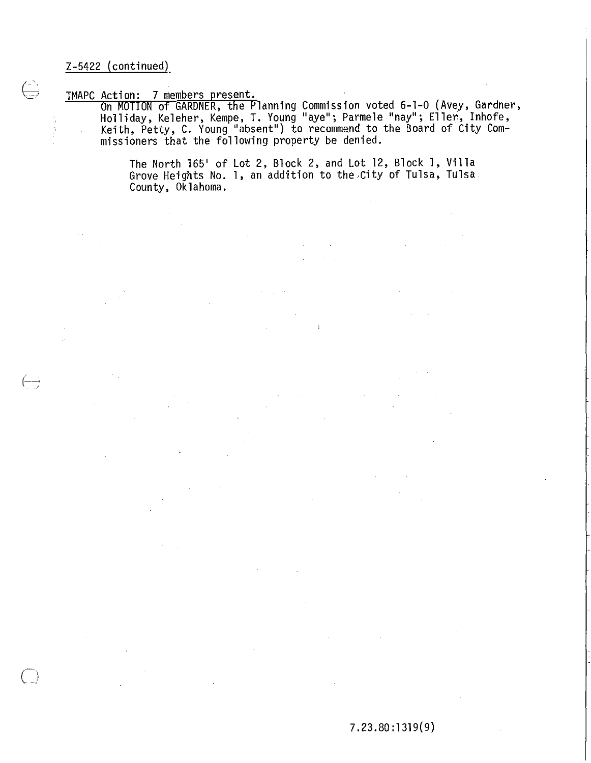# Z-5422 (continued)

 $\bigoplus$ 

 $\frac{3}{2}$  $\ddot{\phantom{a}}$ 

 $\bar{z}$ 

 $\sim 10^{-1}$ 

TMAPC Action: 7 members present.<br>On MOTION of GARDNER, the Planning Commission voted 6-1-0 (Avey, Gardner, Holliday, Keleher, Kempe, T. Young "aye"; Parmele "nay"; Eller, Inhofe, Keith, Petty, C. Young "absent") to recommend to the Board of City Commissioners that the following property be denied.

> The North 165' of Lot 2, Block 2, and Lot 12, Block **1,** Villa Grove Heights **No.1,** an addition to the,City of Tulsa, Tulsa County, Oklahoma.

> > $\sim 10^7$

 $\hat{\boldsymbol{\beta}}$ 

 $\sim$ 

 $\sim 10^{-1}$ 

 $\sim$ 

 $\mathcal{A}=\mathcal{A}$  .

7.23.80:1319(9)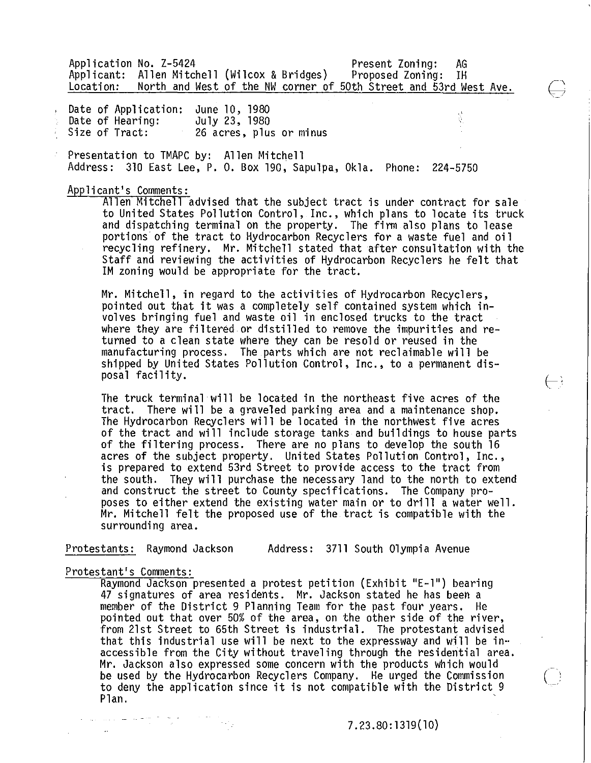Application No. Z-5424 Applicant: Allen Mitchell (Wilcox & Bridges) Proposed Zoning: IH Present Zoning: AG<br>Proposed Zoning: IH Location: North and West of the NW corner of 50th Street and 53rd West Ave.

 $\rightarrow$ 

 $\longleftarrow$  i

Ó.

Date of Application: June 10, 1980<br>Date of Hearing: July 23, 1980<br>Size of Tract: 26 acres, plu July 23, 1980 26 acres, plus or minus

Presentation to TMAPC by: Allen Mitchell Address: 310 East Lee, P. O. Box 190, Sapulpa, Okla. Phone: 224-5750

Applicant's Comments:

Allen Mitchell advised that the subject tract is under contract for sale to United States Pollution Control, Inc., which plans to locate its truck and dispatching terminal on the property. The firm also plans to lease portions of the tract to Hydrocarbon Recyclers for a waste fuel and oil recycling refinery. Mr. Mitchell stated that after consultation with the Staff and reviewing the activities of Hydrocarbon Recyclers he felt that 1M zoning would be appropriate for the tract.

Mr. Mitchell, in regard to the activities of Hydrocarbon Recyclers, pointed out that it was a completely self contained system which involves bringing fuel and waste oil in enclosed trucks to the tract where they are filtered or distilled to remove the impurities and returned to a clean state where they can be resold or reused in the manufacturing process. The parts which are not reclaimable will be shipped by United States Pollution Control, Inc., to a permanent disposal facility.

The truck terminal will be located in the northeast five acres of the tract. There will be a graveled parking area and a maintenance shop. The Hydrocarbon Recyclers will be located in the northwest five acres of the tract and will include storage tanks and buildings to house parts of the filtering process. There are no plans to develop the south 16 acres of the subject property. United States Pollution Control, Inc., is prepared to extend 53rd Street to provide access to the tract from the south. They will purchase the necessary land to the north to extend and construct the street to County specifications. The Company proposes to either extend the eXisting water main or to drill a water well. Mr. Mitchell felt the proposed use of the tract is compatible with the surrounding area.

Protestants: Raymond Jackson Address: 3711 South Olympia Avenue

### Protestant's Comments:

 $\label{eq:1} \mathcal{L}_{\text{max}}(\mathbf{u},\mathbf{u},\mathbf{u}) = \mathcal{L}_{\text{max}}(\mathbf{u},\mathbf{u}) \mathcal{L}_{\text{max}}(\mathbf{u},\mathbf{u})$ 

 $\sim 100$ 

Raymond Jackson presented a protest petition (Exhibit "E-1") bearing 47 signatures of area residents. Mr. Jackson stated he has been a member of the District 9 Planning Team for the past four years. He pointed out that over 50% of the area, on the other side of the river, from 21st Street to 65th Street is industrial. The protestant advised that this industrial use will be next to the expressway and will be inaccessible from the City without traveling through the residential area. Mr. Jackson also expressed some concern with the products which would be used by the Hydrocarbon Recyclers Company. He urged the Commission  $(\ )$ to deny the application since it is not compatible with the District 9 Plan.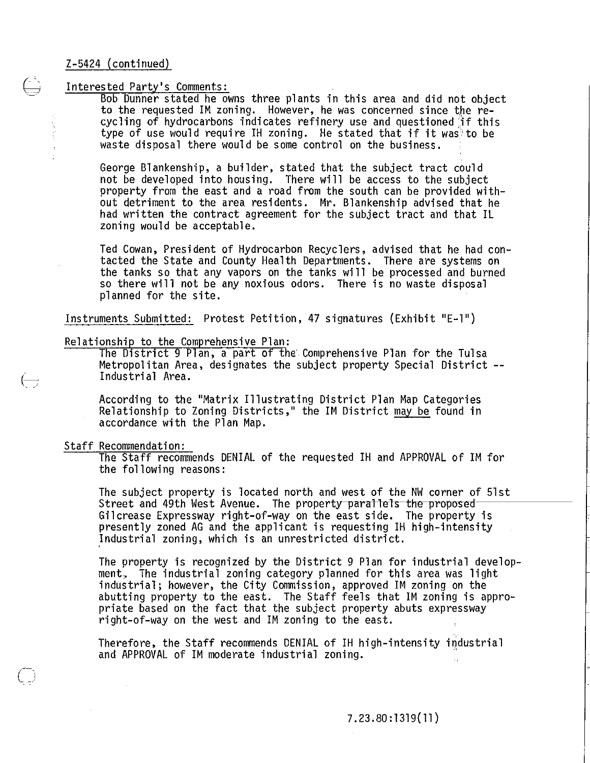## Z-5424 (continued)

 $\bigoplus^4$ 

### Interested Party's Comments:

Bob Dunner stated he owns three plants in this area and did not object to the requested IM zoning. However, he was concerned since the recycling of hydrocarbons indicates refinery use and questioned if this type of use would require IH zoning. He stated that if it was to be waste disposal there would be some control on the business.

George Blankenship, a builder, stated that the subject tract could not be developed into housing. There will be access to the subject property from the east and a road from the south can be provided without detriment to the area residents. Mr. Blankenship advised that he had written the contract agreement for the subject tract and that 1L zoning would be acceptable.

Ted Cowan, President of Hydrocarbon Recyclers, advised that he had contacted the State and County Health Departments. There are systems on the tanks so that any vapors on the tanks will be processed and burned so there will not be any noxious odors. There is no waste disposal planned for the site.

Instruments Submitted: Protest Petition, 47 signatures (Exhibit "E-l")

#### Relationship to the Comprehensive Plan:

The District 9 Plan, a part of the Comprehensive Plan for the Tulsa Metropolitan Area, designates the subject property Special District  $\overline{ }\left( \begin{array}{cc} \cdot \end{array} \right)$  industrial Area.

> According to the "Matrix Illustrating District Plan Map Categories<br>Relationship to Zoning Districts," the IM District may be found in accordance with the Plan Map.

#### Staff Recommendation:

 $\overline{(\ )}$ 

The Staff recommends DENIAL of the requested IH and APPROVAL of 1M for the following reasons:

The subject property is located north and west of the NW corner of 51st Street and 49th West Avenue. The property parallels the proposed-Gilcrease Expressway right-of-way on the east side. The property is presently zoned AG and the applicant is requesting IH high-intensity ,Industrial zoning, which is an unrestricted district.

The property is recognized by the District 9 Plan for industrial develop-<br>ment, The industrial zoning category planned for this area was light ment. The industrial zoning category planned for this area was light<br>industrial; however, the City Commission, approved IM zoning on the abutting property to the east. The Staff feels that IM zoning is appro-<br>priate based on the fact that the subject property abuts expressway<br>right-of-way on the west and IM zoning to the east.

Therefore, the Staff recommends DENIAL of IH high-intensity industrial and APPROVAL of 1M moderate industrial zoning.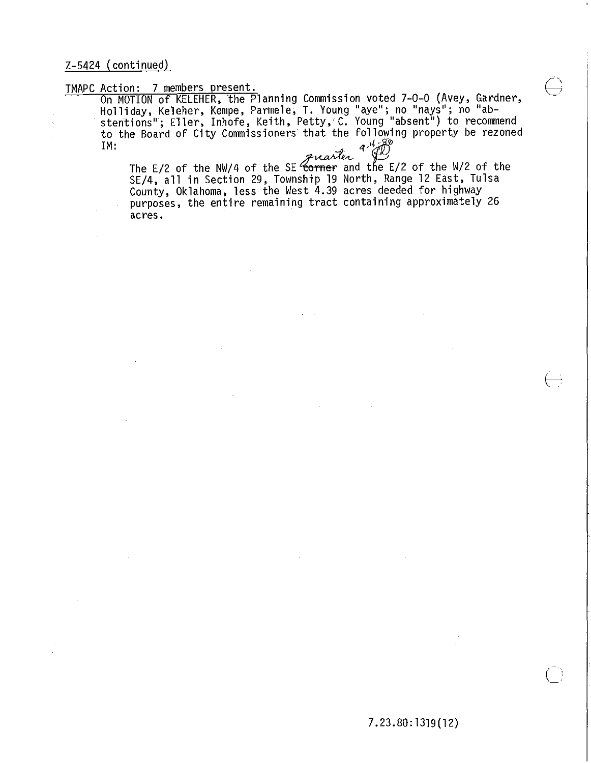## Z-5424 (continued)

TMAPC Action: 7 members present. commission voted 7-0-0 (Avey, Gardner,  $\bigoplus$ Holliday, Keleher, Kempe, Parmele, **T.** Young "aye"; no "nays"; no "ab- . stentions"; Eller, Inhofe, Keith, Petty,' C. Young "absent") to recommend to the Board of City Commissioners that the following property be rezoned to the Board of City Commissioners that the followi<br>IM: a<sup>,d</sup> g<sup>o</sup><br>Engable

The E/2 of the NW/4 of the SE corner and the E/2 of the W/2 of the SE/4, all in Section 29, Township 19 North, Range 12 East, Tulsa County, Oklahoma, less the West 4.39 acres deeded for highway purposes, the entire remaining tract containing approximately 26 acres.

 $(\_)$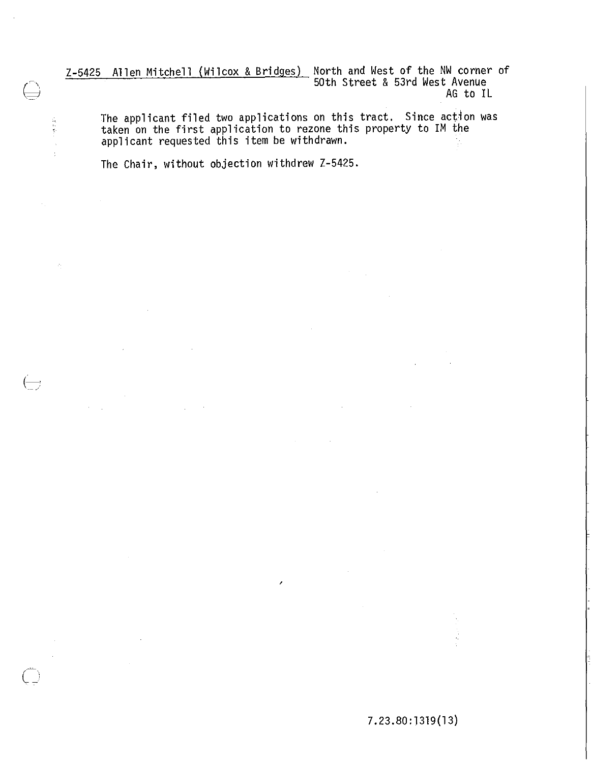Z-5425 Allen Mitchell (Wilcox & Bridges) North and West of the NW corner of 50th Street & 53rd West Avenue AG to 1L

The applicant filed two applications on this tract. Since action was taken on the first application to rezone this property to 1M the applicant requested this item be withdrawn.

 $\sim$ 

 $\bar{\epsilon}$ 

The Chair, without objection withdrew Z-5425.

 $\left(\frac{1}{\sqrt{2}}\right)$ 

在下手。

ł,

 $\mathcal{S}_{\mathcal{A}}$ 

 $\sim$ 

 $\mathcal{L}^{\mathcal{L}}$ 

 $\overline{\bigcirc}$ 

7.23.80:1319(13)

 $\bar{A}$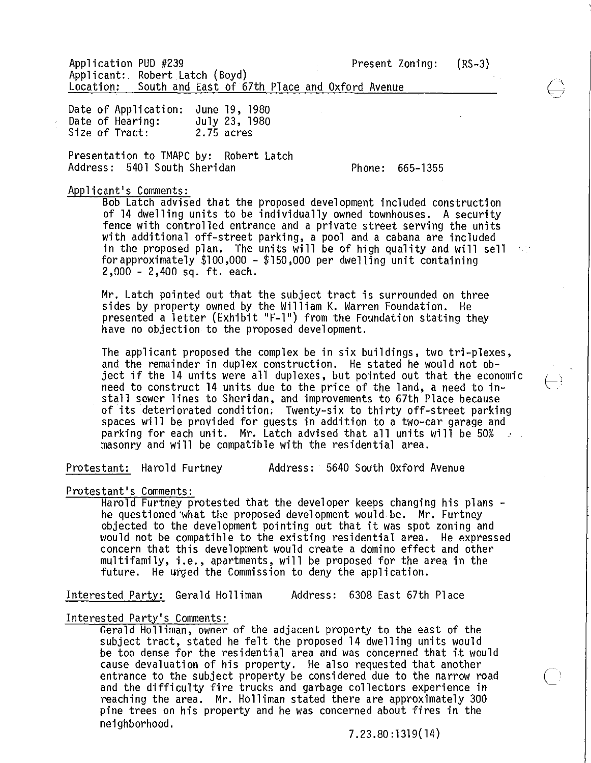Present Zoning: (RS-3)

Application PUD #239 Applicant: Robert Latch (Boyd) Location: South and East of 67th Place and Oxford Avenue

Date of Application: June 19, 1980 Date of Hearing: Size of Tract: July 23, 1980 2.75 acres

Presentation to TMAPC by: Robert Latch Address: 5401 South Sheridan

Phone: 665-1355

## Applicant's Comments:

Bob Latch advised that the proposed development included construction<br>of 14 dwelling units to be individually owned townhouses. A security fence with controlled entrance and a private street serving the units with additional off-street parking, a pool and a cabana are included in the proposed plan. The units will be of high quality and will sell one for approximately \$100,000 - \$150,000 per dwelling unit containing 2,000 - 2,400 sq. ft. each.

Mr. Latch pointed out that the subject tract is surrounded on three sides by property owned by the William K. Warren Foundation. He presented a letter (Exhibit "F-l") from the Foundation stating they<br>have no objection to the proposed development.

The applicant proposed the complex be in six buildings, two tri-plexes,<br>and the remainder in duplex construction. He stated he would not object if the 14 units were all duplexes, but pointed out that the economic need to construct 14 units due to the price of the land, a need to install sewer lines to Sheridan, and improvements to 67th Place because of its deteriorated condition; Twenty-six to thirty off-street parking spaces will be provided for guests in addition to a two-car garage and parking for each unit. Mr. Latch advised that all units will be 50% masonry and will be compatible with the residential area.

Protestant: Harold Furtney Address: 5640 South Oxford Avenue

Protestant's Comments:<br>Harold Furtney protested that the developer keeps changing his plans he questioned what the proposed development would be. Mr. Furtney<br>objected to the development pointing out that it was spot zoning and would not be compatible to the existing residential area. He expressed concern that this development would create a domino effect and other multifamily, i.e., apartments, will be proposed for the area in the future. He urged the Commission to deny the application.

Interested Party: Gerald Holliman Address: 6308 East 67th Place

Interested Party's Comments:

Gerald Holliman, owner of the adjacent property to the east of the subject tract, stated he felt the proposed 14 dwelling units would be too dense for the residential area and was concerned that it would cause devaluation of his property. He also requested that another entrance to the subject property be considered due to the narrow road and the difficulty fire trucks and garbage collectors experience in reaching the area. Mr. Holliman stated there are approximately 300 pine trees on his property and he was concerned about fires in the neighborhood. 7.23.80:1319(14)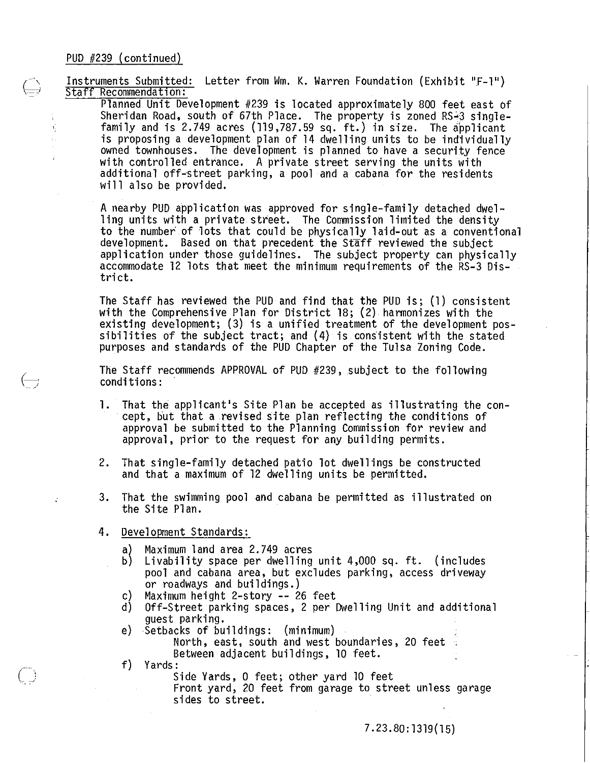## PUD #239 (continued)

 $\bigoplus$ 

Instruments Submitted: Letter from Wm. K. Warren Foundation (Exhibit "F-l") Staff Recommendation:

Planned Unit Development #239 is located approximately 800 feet east of<br>Sheridan Road, south of 67th Place. The property is zoned RS+3 singlefamily and is 2.749 acres (119,787.59 sq. ft.) in size. The applicant<br>is proposing a development plan of 14 dwelling units to be individually<br>owned townhouses. The development is planned to have a security fence with controlled entrance. A private street serving the units with additional off-street parking, a pool and a cabana for the residents will also be provided.

A nearby PUD application was approved for single-family detached dwelling units with a private street. The Commission limited the density to the number of lots that could be physically laid-out as a conventional development. Based on that precedent the Staff reviewed the subject application under those guidelines. The subject property can physically accommodate 12 lots that meet the minimum requirements of the RS-3 District.

The Staff has reviewed the PUD and find that the PUD is; (1) consistent with the Comprehensive Plan for District 18; (2) harmonizes with the<br>existing development; (3) is a unified treatment of the development possibilities of the subject tract; and (4) is consistent with the stated purposes and standards of the PUD Chapter of the Tulsa Zoning Code.

The Staff recommends APPROVAL of PUD #239, subject to the following conditions:

- 1. That the applicant's Site Plan be accepted as illustrating the con-<br>cept, but that a revised site plan reflecting the conditions of approval be submitted to the Planning Commission for review and approval, prior to the request for any building permits.
- 2. That single-family detached patio lot dwellings be constructed and that a maximum of 12 dwelling units be permitted.
- 3. That the swimming pool and cabana be permitted as illustrated on the Site Plan.
- 4. Development Standards:
	- a) Maximum land area 2.749 acres
	- Livability space per dwelling unit 4,000 sq. ft. (includes pool and cabana area, but excludes parking, access driveway or roadways and buildings.)
	- c) Maximum height 2-story **--** 26 feet
	- Off-Street parking spaces, 2 per Dwelling Unit and additional guest parking.<br>Setbacks of buildings: (minimum)
	- e) Setbacks of buildings: (minimum)<br>North, east, south and west boundaries, 20 feet Between adjacent buildings, 10 feet.
	- f) Yards:

 $(\_)$ 

Side Yards, 0 feet; other yard 10 feet Front yard, 20 feet from garage to street unless garage sides to street.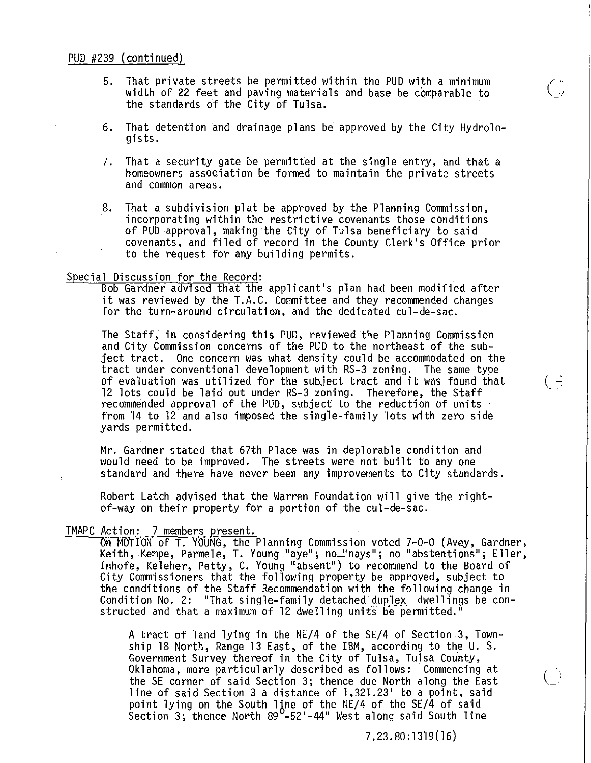- 5. That private streets be permitted within the PUD with a minimum width of 22 feet and paving materials and base be comparable to the standards of the City of Tulsa.
- 6. That detention and drainage plans be approved by the City Hydrolo-<br>gists.
- 7. That a security gate be permitted at the single entry, and that a homeowners association be formed to maintain the private streets and common areas.
- 8. That a subdivision plat be approved by the Planning Commission, incorporating within the restrictive covenants those conditions of PUD -approval, making the City of Tulsa beneficiary to said covenants, and filed of record in the County Clerk's Office prior to the request for any building permits.

## Special Discussion for the Record:

Bob Gardner advised that the applicant's plan had been modified after it was reviewed by the T.A.C. Committee and they recommended changes for the turn-around circulation, and the dedicated cul-de-sac.

The Staff, in considering this PUD, reviewed the Planning Commission and City Commission concerns of the PUD to the northeast of the subject tract. One concern was what density could be accommodated on the<br>tract under conventional development with RS-3 zoning. The same type tract under conventional development with RS-3 zoning. The same type  $\overline{\left(-\right)}$  of evaluation was utilized for the subject tract and it was found that  $\overline{\left(-\right)}$ 12 lots could be laid out under RS-3 zoning. Therefore, the Staff recommended approval of the PUD, subject to the reduction of units from 14 to 12 and also imposed the single-family lots with zero side yards permitted.

Mr. Gardner stated that 67th Place was in deplorable condition and would need to be improved. The streets were not built to anyone standard and there have never been any improvements to City standards.

Robert Latch advised that the Warren Foundation will give the right- of-way on their property for a portion of the cul-de-sac.

#### TMAPC Action: 7 members present.

On MOTION of T. YOUNG, the Planning Commission voted 7-0-0 (Avey, Gardner, Keith, Kempe, Parmele, T. Young "aye"; no-"nays"; no "abstentions"; Eller, Inhofe, Keleher, Petty, C. Young "absent") to recommend to the Board of City Commissioners that the following property be approved, subject to the conditions of the Staff Recommendation with the following change in Condition No.2: "That single-family detached duplex dwellings be constructed and that a maximum of 12 dwelling units be permitted."

A tract of land lying in the NE/4 of the SE/4 of Section 3, Township 18 North, Range 13 East, of the IBM, according to the U. S.<br>Government Survey thereof in the City of Tulsa, Tulsa County, Oklahoma, more particularly described as follows: Commencing at the SE corner of said Section 3; thence due North along the East line of said Section 3 a distance of  $1,321.23'$  to a point, said point lying on the South line of the NE/4 of the SE/4 of said Section  $3$ ; thence North  $89^{\circ}$ -52'-44" West along said South line

7.23.80:1319(16)

 $\frac{1}{2}$ 

 $\leftarrow$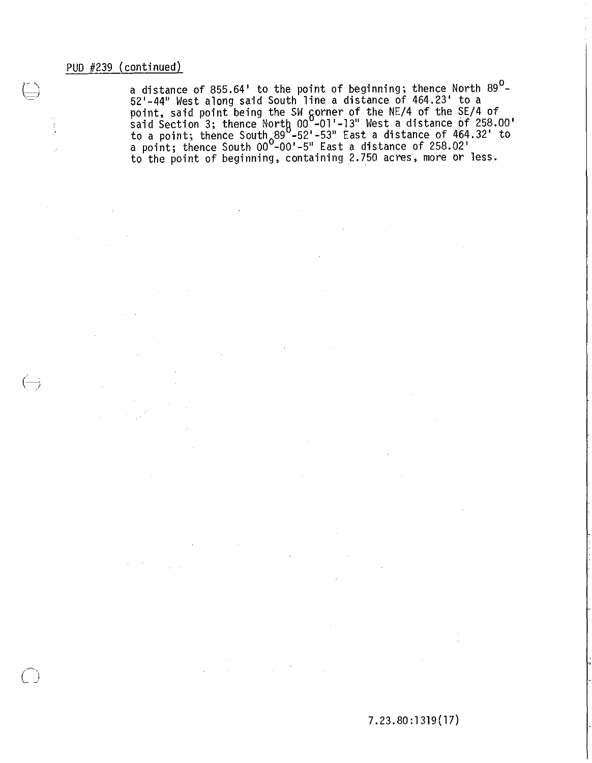## PUO #239 (continued)

 $\sim 10^{-1}$  km

 $\sim 10^7$ 

 $\label{eq:2} \mathcal{F}^{\mu\nu} = \mathcal{F}^{\mu\nu} \mathcal{F}^{\mu\nu} = \frac{1}{2\pi\epsilon^2} \frac{1}{\sqrt{2\pi}} \, .$ 

 $\sim 10$ 

 $\sim$   $\sim$ 

 $\bigoplus$ 

 $\frac{1}{2}$ 

 $\gamma_{\rm{max}}$ 

a distance of 855.64' to the point of beginning; thence North 89<sup>0</sup>-<br>52'-44" West along said South line a distance of 464.23' to a point, said point being the SW corner of the NE/4 of the SE/4 of said Section 3; thence North 00 -01'-13" West a distance of 258.00' to a point; thence South 89<sup>9</sup>-52'-53" East a distance of 464.32' to<br>a point: thence South 00<sup>0</sup>-00'-5" East a distance of 258.02' a point; thence South 00<sup>0</sup>-00'-5" East a distance of 258.02' to the point of beginning, containing 2.750 acres, more or less.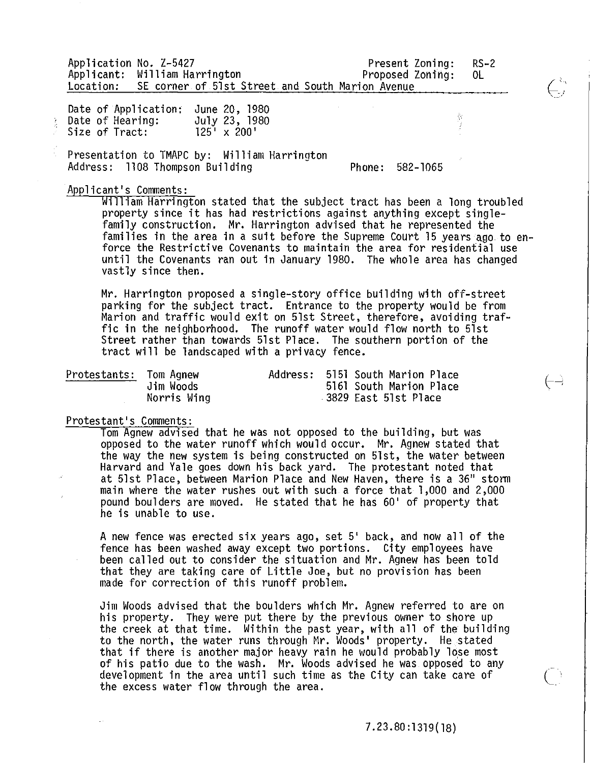Application No. Z-5427<br>Applicant: William Harrington Applicant: William Harrington Location: SE corner of 51 st Street and South Ma ri on Avenue Present Zoning: Proposed Zoning: RS-2 OL

Date of Application: June 20, 1980<br>Date of Hearing: July 23, 1980<br>Size of Tract: 125' x 200' July 23, 1980 125' x 200'

Presentation to TMAPC by: William Harrington Address: 1108 Thompson Building Phone: 582-1065

## Applicant's Comments:

William Harrington stated that the subject tract has been a long troubled<br>property since it has had restrictions against anything except singlefamily construction. Mr. Harrington advised that he represented the families in the area in a suit before the Supreme Court 15 years ago to enforce the Restrictive Covenants to maintain the area for residential use until the Covenants ran out in January 1980. The whole area has changed<br>vastly since then.

rsin<br>Ud

ŷ. Ţ

Mr. Harrington proposed a single-story office building with off-street parking for the subject tract. Entrance to the property would be from Marion and traffic would exit on 51st Street, therefore, avoiding traffic in the neighborhood. The runoff water would flow north to 51st Street rather than towards 51st Place. The southern portion of the tract will be landscaped with a privacy fence.

| Protestants: Tom Agnew |             | Address: 5151 South Marion Place |  |                         |  |
|------------------------|-------------|----------------------------------|--|-------------------------|--|
|                        | Jim Woods   |                                  |  | 5161 South Marion Place |  |
|                        | Norris Wing |                                  |  | 3829 East 51st Place    |  |

### Protestant's Comments:

Tom Agnew advised that he was not opposed to the building, but was opposed to the water runoff which would occur. Mr. Agnew stated that the way the new system is being constructed on 51st, the water between Harvard and Yale goes down his back yard. The protestant noted that at 51st Place, between Marion Place and New Haven, there is a 36" storm main where the water rushes out with such a force that 1,000 and 2,000 pound boulders are moved. He stated that he has 60' of property that he is unable to use.

A new fence was erected six years ago, set 5' back, and now all of the fence has been washed away except two portions. City employees have been called out to consider the situation and Mr. Agnew has been told that they are taking care of Little Joe, but no provision has been made for correction of this runoff problem.

Jim Woods advised that the boulders which Mr. Agnew referred to are on the creek at that time. Within the past year, with all of the building to the north, the water runs through Mr. Woods' property. He stated that if there is another major heavy rain he would probably lose most of his patio due to the wash. Mr. Woods advised he was opposed to any<br>development in the area until such time as the City can take care of the excess water flow through the area.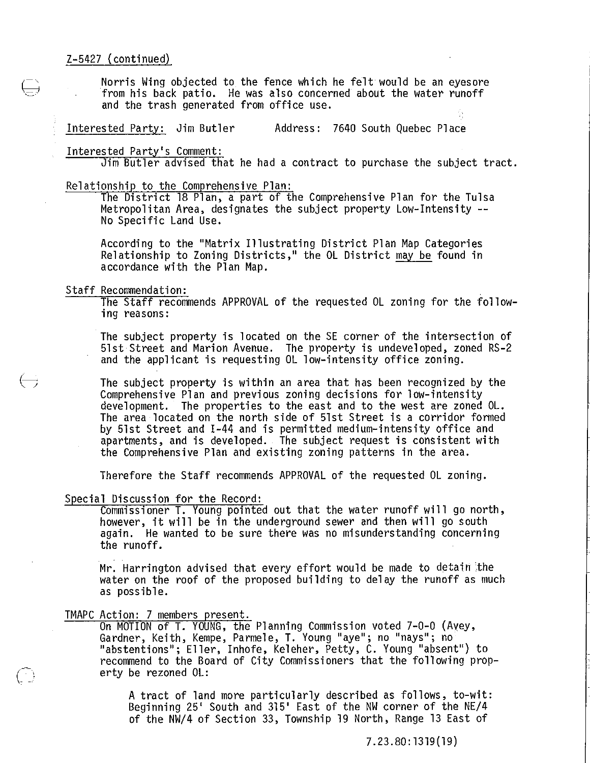### Z-5427 (continued)

 $\overline{\bigoplus}$ 

Norris Wing objected to the fence which he felt would be an eyesore<br>from his back patio. He was also concerned about the water runoff and the trash generated from office use.

Interested Party: Jim Butler Address: 7640 South Quebec Place

#### Interested Party's Comment:

Jim Butler advised that he had a contract to purchase the subject tract.

Relationship to the Comprehensive Plan:

The District 18 Plan, a part of the Comprehensive Plan for the Tulsa Metropolitan Area, designates the subject property Low-Intensity -- No Specific Land Use.

According to the "Matrix Illustrating District Plan Map Categories<br>Relationship to Zoning Districts," the OL District may be found in accordance with the Plan Map.

#### Staff Recommendation:

The Staff recommends APPROVAL of the requested OL zoning for the following reasons:

The subject property is located on the SE corner of the intersection of 51st Street and Marion Avenue. The property is undeveloped, zoned RS-2 and the applicant is requesting OL low-intensity office zoning.

The subject property is within an area that has been recognized by the<br>Comprehensive Plan and previous zoning decisions for low-intensity development. The properties to the east and to the west are zoned OL. The area located on the north side of 51st Street is a corridor formed by 51st Street and 1-44 and is permitted medium-intensity office and apartments, and is developed. The subject request is consistent with the Comprehensive Plan and existing zoning patterns in the area.

Therefore the Staff recommends APPROVAL of the requested OL zoning.

# Special Discussion for the Record:

Commissioner T. Young pointed out that the water runoff will go north, however, it will be in the underground sewer and then will go south again. He wanted to be sure there was no misunderstanding concerning the runoff.

Mr. Harrington advised that every effort would be made to detain the water on the roof of the proposed building to delay the runoff as much as possible.

TMAPC Action: 7 members present.<br>On MOTION of T. YOUNG, the Planning Commission voted 7-0-0 (Avey,<br>Gardner, Keith, Kempe, Parmele, T. Young "aye"; no "nays"; no "abstentions"; Eller, Inhofe, Keleher, Petty, C. Young "absent") to recommend to the Board of City Commissioners that the following prop-<br>erty be rezoned OL:

> A tract of land more particularly described as follows, to-wit: Beginning 25' South and 315' East of the NW corner of the NE/4 of the NW/4 of Section 33, Township 19 North, Range 13 East of

> > 7.23.80:1319(19)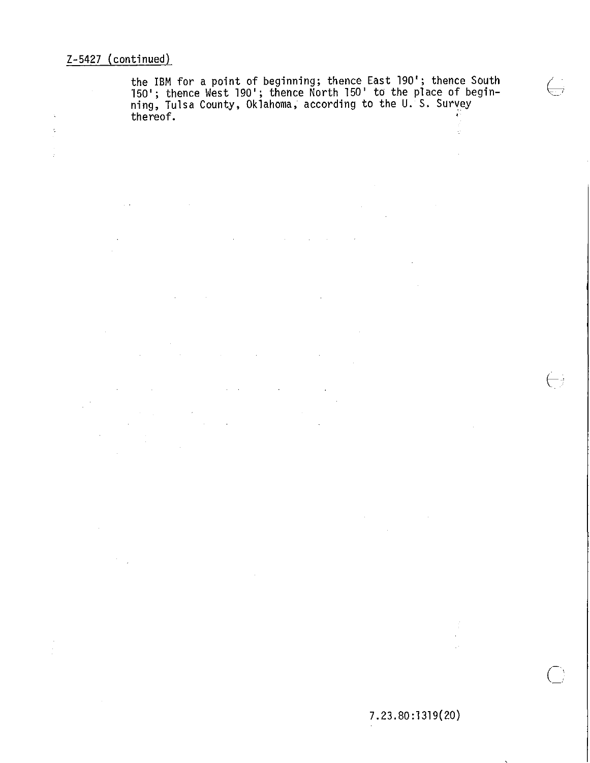$\mathcal{L}^{\mathcal{L}}$  and  $\mathcal{L}^{\mathcal{L}}$  are  $\mathcal{L}^{\mathcal{L}}$  . In the contract of  $\mathcal{L}^{\mathcal{L}}$ 

 $\mathcal{L}^{\text{max}}$  and  $\mathcal{L}^{\text{max}}$ 

 $\mathcal{L}^{\text{max}}_{\text{max}}$ 

 $\mathcal{L}^{\text{max}}_{\text{max}}$  , where  $\mathcal{L}^{\text{max}}_{\text{max}}$ 

 $\sim 100$ 

 $\mathcal{L}^{\mathcal{L}}(\mathcal{L}^{\mathcal{L}})$  and  $\mathcal{L}^{\mathcal{L}}(\mathcal{L}^{\mathcal{L}})$  . The contribution of  $\mathcal{L}^{\mathcal{L}}$ 

 $\mathcal{O}(\mathcal{A}^{\mathcal{A}})$  and  $\mathcal{O}(\mathcal{A}^{\mathcal{A}})$  are  $\mathcal{O}(\mathcal{A}^{\mathcal{A}})$  . Then  $\mathcal{O}(\mathcal{A}^{\mathcal{A}})$ 

 $\hat{\mathcal{A}}$ 

Ñ,

the IBM for a point of beginning; thence East 190'; thence South 150'; thence West 190'; thence North 150' to the place of begin-<br>ning, Tulsa County, Oklahoma, according to the U. S. Survey<br>thereof. ...

 $\mathcal{A}$  and  $\mathcal{A}$  is a subset of the set of the set of the set of  $\mathcal{A}$ 

 $\mathcal{L}^{\text{max}}_{\text{max}}$  ,  $\mathcal{L}^{\text{max}}_{\text{max}}$ 

 $\sim$  .

7.23.80:1319(20)

 $\label{eq:2.1} \mathcal{L}(\mathcal{A}) = \mathcal{L}(\mathcal{A}) \mathcal{L}(\mathcal{A}) = \mathcal{L}(\mathcal{A}) \mathcal{L}(\mathcal{A})$ 

 $\bigcirc$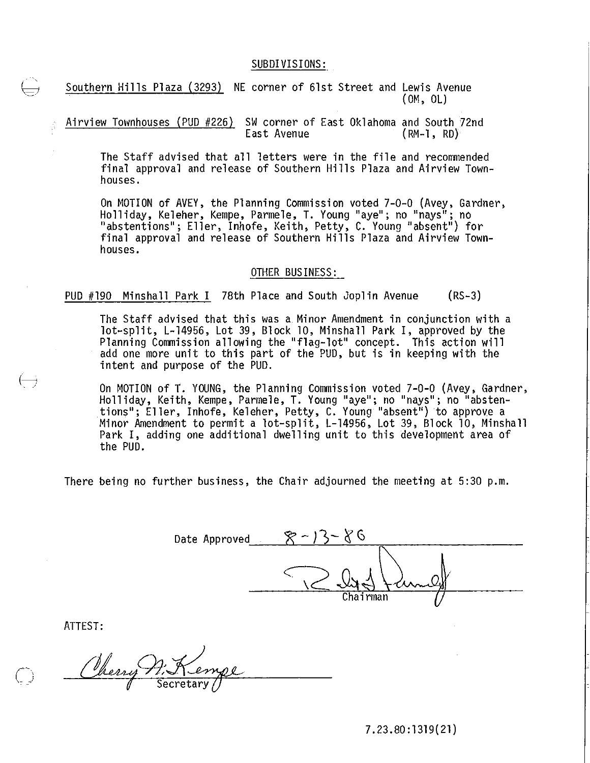#### SUBDIVISIONS:

Southern Hills Plaza (3293) NE corner of 61st Street and Lewis Avenue (OM, OL)

Airview Townhouses (PUD #226) SW corner of East Oklahoma and South 72nd<br>
East Avenue (RM-I, RD) East Avenue

> The Staff advised that all letters were in the file and recommended final approval and release of Southern Hills Plaza and Airview Townhouses.

On MOTION of AVEY, the Planning Commission voted 7-0-0 (Avey, Gardner, Holliday, Keleher, Kempe, Parmele, T. Young "aye"; no "nays"; no "abstentions"; Eller, Inhofe, Keith, Petty, C. Young "absent") for final approval and release of Southern Hills Plaza and Airview Townhouses.

#### OTHER BUSINESS:

PUD #190 Minshall Park I 78th Place and South Joplin Avenue (RS-3)

The Staff advised that this was a. Minor Amendment in conjunction with a lot-split, L-14956, Lot 39, Block 10, Minshall Park I, approved by the Planning Commission allowing the "flag-lot" concept. This action will add one more unit to this part of the PUD, but is in keeping with the intent and purpose of the PUD.

On MOTION of T. YOUNG, the Planning Commission voted 7-0-0 (Avey, Gardner, Holliday, Keith, Kempe, Parmele, T. Young "aye"; no "nays"; no "abstentions"; Eller, Inhofe, Keleher, Petty, C. Young "absent") to approve a Minor Amendment to permit a lot-split, L-14956, Lot 39, Block 10, Minshall Park I, adding one additional dwelling unit to this development area of the PUD.

There being no further business, the Chair adjourned the meeting at 5:30 p.m.

| Date Approved | $\cap$ $\vee$ $\cap$<br>☜ |
|---------------|---------------------------|
|               | Cambelly                  |
|               | Chairman                  |

ATTEST:

 $\overline{\left(\right. -\right)}$ , J

Cherry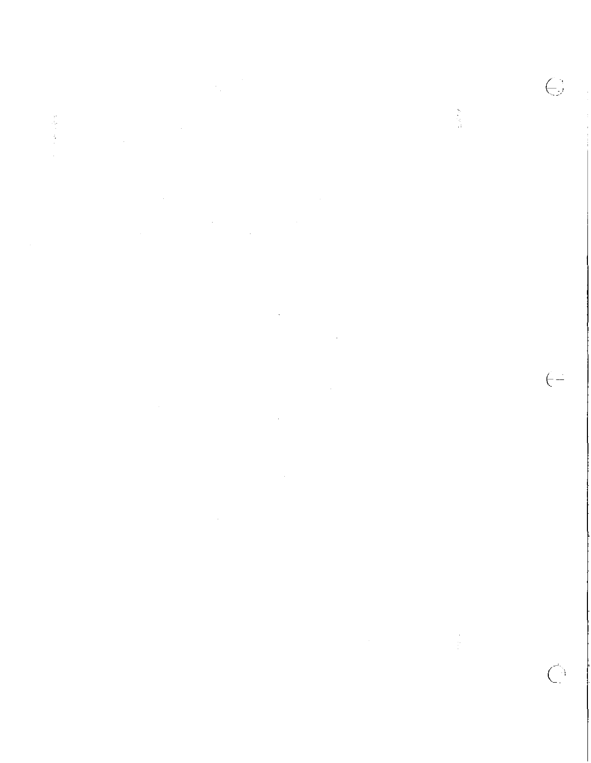$\label{eq:2.1} \frac{1}{\sqrt{2}}\left(\frac{1}{\sqrt{2}}\right)^2\left(\frac{1}{\sqrt{2}}\right)^2\left(\frac{1}{\sqrt{2}}\right)^2\left(\frac{1}{\sqrt{2}}\right)^2\left(\frac{1}{\sqrt{2}}\right)^2\left(\frac{1}{\sqrt{2}}\right)^2.$ 

 $\label{eq:2.1} \frac{1}{\sqrt{2}}\int_{\mathbb{R}^3} \frac{1}{\sqrt{2}}\left(\frac{1}{\sqrt{2}}\right)^2\frac{1}{\sqrt{2}}\left(\frac{1}{\sqrt{2}}\right)^2\frac{1}{\sqrt{2}}\left(\frac{1}{\sqrt{2}}\right)^2\frac{1}{\sqrt{2}}\left(\frac{1}{\sqrt{2}}\right)^2.$ 

 $\in$ 

 $\hat{F}$ 

 $\bigoplus$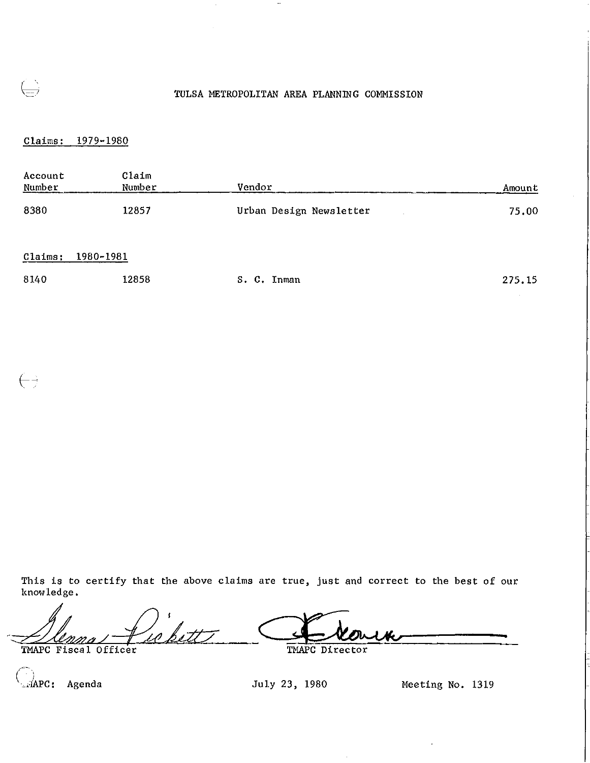## TULSA METROPOLITAN AREA PLANNING COMMISSION

 $\sim$ 

Claims: 1979-1980

 $\overline{\bigoplus}$ 

 $\leftarrow$ 

| Account<br>Number | Claim<br>Number | Vendor                  | Amount |
|-------------------|-----------------|-------------------------|--------|
| 8380              | 12857           | Urban Design Newsletter | 75.00  |
| Claims:           | 1980-1981       |                         |        |
| 8140              | 12858           | S. C. Inman             | 275.15 |

This is to certify that the above claims are true, just and correct to the best of our knowledge.

Commas + chetts Commander

*C*)<br> *July* 23, 1980 Meeting No. 1319